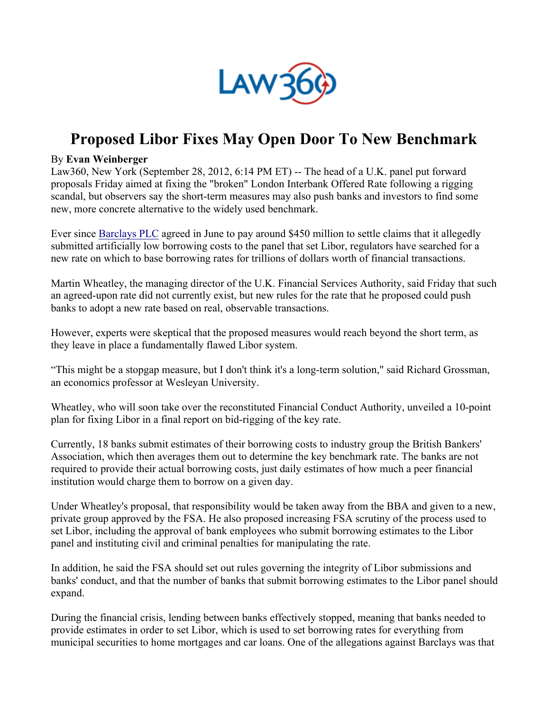

## **Proposed Libor Fixes May Open Door To New Benchmark**

## By **Evan Weinberger**

Law360, New York (September 28, 2012, 6:14 PM ET) -- The head of a U.K. panel put forward proposals Friday aimed at fixing the "broken" London Interbank Offered Rate following a rigging scandal, but observers say the short-term measures may also push banks and investors to find some new, more concrete alternative to the widely used benchmark.

Ever since Barclays PLC agreed in June to pay around \$450 million to settle claims that it allegedly submitted artificially low borrowing costs to the panel that set Libor, regulators have searched for a new rate on which to base borrowing rates for trillions of dollars worth of financial transactions.

Martin Wheatley, the managing director of the U.K. Financial Services Authority, said Friday that such an agreed-upon rate did not currently exist, but new rules for the rate that he proposed could push banks to adopt a new rate based on real, observable transactions.

However, experts were skeptical that the proposed measures would reach beyond the short term, as they leave in place a fundamentally flawed Libor system.

"This might be a stopgap measure, but I don't think it's a long-term solution," said Richard Grossman, an economics professor at Wesleyan University.

Wheatley, who will soon take over the reconstituted Financial Conduct Authority, unveiled a 10-point plan for fixing Libor in a final report on bid-rigging of the key rate.

Currently, 18 banks submit estimates of their borrowing costs to industry group the British Bankers' Association, which then averages them out to determine the key benchmark rate. The banks are not required to provide their actual borrowing costs, just daily estimates of how much a peer financial institution would charge them to borrow on a given day.

Under Wheatley's proposal, that responsibility would be taken away from the BBA and given to a new, private group approved by the FSA. He also proposed increasing FSA scrutiny of the process used to set Libor, including the approval of bank employees who submit borrowing estimates to the Libor panel and instituting civil and criminal penalties for manipulating the rate.

In addition, he said the FSA should set out rules governing the integrity of Libor submissions and banks' conduct, and that the number of banks that submit borrowing estimates to the Libor panel should expand.

During the financial crisis, lending between banks effectively stopped, meaning that banks needed to provide estimates in order to set Libor, which is used to set borrowing rates for everything from municipal securities to home mortgages and car loans. One of the allegations against Barclays was that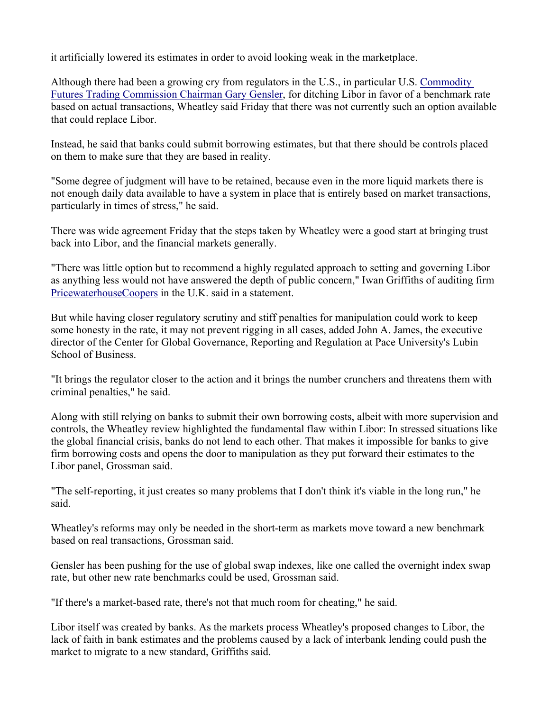it artificially lowered its estimates in order to avoid looking weak in the marketplace.

Although there had been a growing cry from regulators in the U.S., in particular U.S. Commodity Futures Trading Commission Chairman Gary Gensler, for ditching Libor in favor of a benchmark rate based on actual transactions, Wheatley said Friday that there was not currently such an option available that could replace Libor.

Instead, he said that banks could submit borrowing estimates, but that there should be controls placed on them to make sure that they are based in reality.

"Some degree of judgment will have to be retained, because even in the more liquid markets there is not enough daily data available to have a system in place that is entirely based on market transactions, particularly in times of stress," he said.

There was wide agreement Friday that the steps taken by Wheatley were a good start at bringing trust back into Libor, and the financial markets generally.

"There was little option but to recommend a highly regulated approach to setting and governing Libor as anything less would not have answered the depth of public concern," Iwan Griffiths of auditing firm PricewaterhouseCoopers in the U.K. said in a statement.

But while having closer regulatory scrutiny and stiff penalties for manipulation could work to keep some honesty in the rate, it may not prevent rigging in all cases, added John A. James, the executive director of the Center for Global Governance, Reporting and Regulation at Pace University's Lubin School of Business.

"It brings the regulator closer to the action and it brings the number crunchers and threatens them with criminal penalties," he said.

Along with still relying on banks to submit their own borrowing costs, albeit with more supervision and controls, the Wheatley review highlighted the fundamental flaw within Libor: In stressed situations like the global financial crisis, banks do not lend to each other. That makes it impossible for banks to give firm borrowing costs and opens the door to manipulation as they put forward their estimates to the Libor panel, Grossman said.

"The self-reporting, it just creates so many problems that I don't think it's viable in the long run," he said.

Wheatley's reforms may only be needed in the short-term as markets move toward a new benchmark based on real transactions, Grossman said.

Gensler has been pushing for the use of global swap indexes, like one called the overnight index swap rate, but other new rate benchmarks could be used, Grossman said.

"If there's a market-based rate, there's not that much room for cheating," he said.

Libor itself was created by banks. As the markets process Wheatley's proposed changes to Libor, the lack of faith in bank estimates and the problems caused by a lack of interbank lending could push the market to migrate to a new standard, Griffiths said.